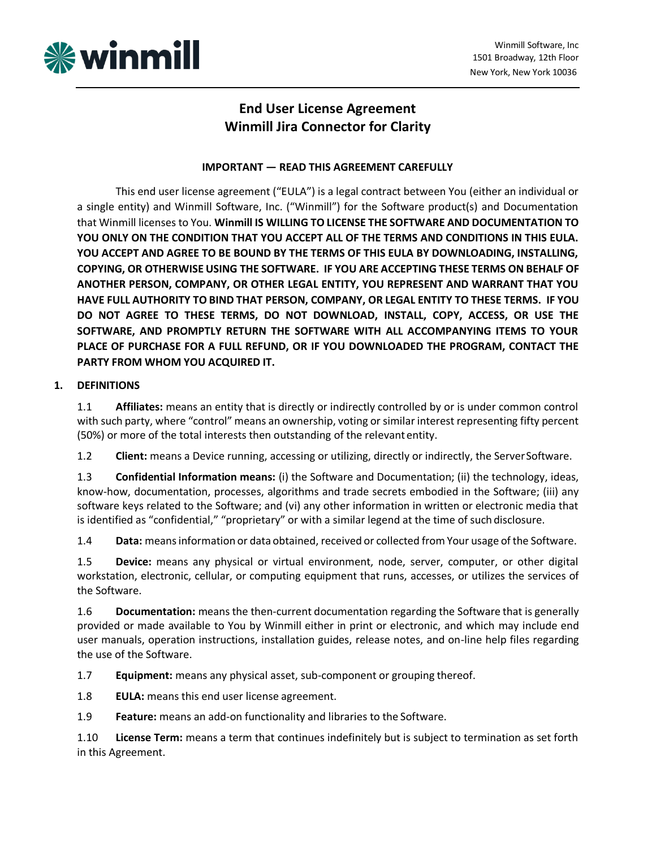

# **End User License Agreement Winmill Jira Connector for Clarity**

## **IMPORTANT — READ THIS AGREEMENT CAREFULLY**

This end user license agreement ("EULA") is a legal contract between You (either an individual or a single entity) and Winmill Software, Inc. ("Winmill") for the Software product(s) and Documentation that Winmill licenses to You. **Winmill IS WILLING TO LICENSE THE SOFTWARE AND DOCUMENTATION TO YOU ONLY ON THE CONDITION THAT YOU ACCEPT ALL OF THE TERMS AND CONDITIONS IN THIS EULA. YOU ACCEPT AND AGREE TO BE BOUND BY THE TERMS OF THIS EULA BY DOWNLOADING, INSTALLING, COPYING, OR OTHERWISE USING THE SOFTWARE. IF YOU ARE ACCEPTING THESE TERMS ON BEHALF OF ANOTHER PERSON, COMPANY, OR OTHER LEGAL ENTITY, YOU REPRESENT AND WARRANT THAT YOU HAVE FULL AUTHORITY TO BIND THAT PERSON, COMPANY, OR LEGAL ENTITY TO THESE TERMS. IF YOU DO NOT AGREE TO THESE TERMS, DO NOT DOWNLOAD, INSTALL, COPY, ACCESS, OR USE THE SOFTWARE, AND PROMPTLY RETURN THE SOFTWARE WITH ALL ACCOMPANYING ITEMS TO YOUR PLACE OF PURCHASE FOR A FULL REFUND, OR IF YOU DOWNLOADED THE PROGRAM, CONTACT THE PARTY FROM WHOM YOU ACQUIRED IT.**

## **1. DEFINITIONS**

1.1 **Affiliates:** means an entity that is directly or indirectly controlled by or is under common control with such party, where "control" means an ownership, voting orsimilar interest representing fifty percent (50%) or more of the total interests then outstanding of the relevantentity.

1.2 **Client:** means a Device running, accessing or utilizing, directly or indirectly, the ServerSoftware.

1.3 **Confidential Information means:** (i) the Software and Documentation; (ii) the technology, ideas, know-how, documentation, processes, algorithms and trade secrets embodied in the Software; (iii) any software keys related to the Software; and (vi) any other information in written or electronic media that is identified as "confidential," "proprietary" or with a similar legend at the time of such disclosure.

1.4 **Data:** meansinformation or data obtained, received or collected fromYour usage of the Software.

1.5 **Device:** means any physical or virtual environment, node, server, computer, or other digital workstation, electronic, cellular, or computing equipment that runs, accesses, or utilizes the services of the Software.

1.6 **Documentation:** means the then-current documentation regarding the Software that is generally provided or made available to You by Winmill either in print or electronic, and which may include end user manuals, operation instructions, installation guides, release notes, and on-line help files regarding the use of the Software.

1.7 **Equipment:** means any physical asset, sub-component or grouping thereof.

1.8 **EULA:** means this end user license agreement.

1.9 **Feature:** means an add-on functionality and libraries to the Software.

1.10 **License Term:** means a term that continues indefinitely but is subject to termination as set forth in this Agreement.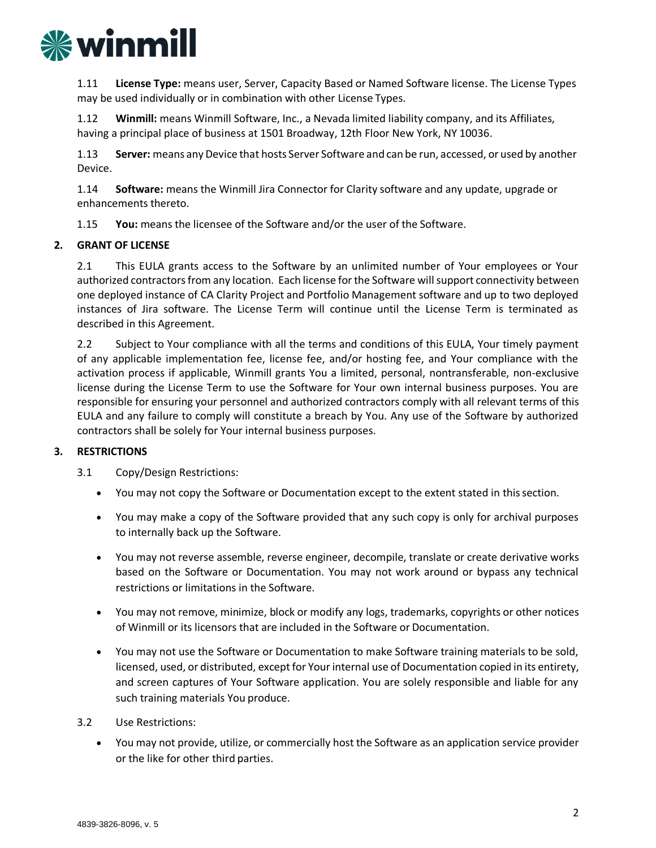

1.11 **License Type:** means user, Server, Capacity Based or Named Software license. The License Types may be used individually or in combination with other License Types.

1.12 **Winmill:** means Winmill Software, Inc., a Nevada limited liability company, and its Affiliates, having a principal place of business at 1501 Broadway, 12th Floor New York, NY 10036.

1.13 **Server:** means any Device that hosts Server Software and can be run, accessed, or used by another Device.

1.14 **Software:** means the Winmill Jira Connector for Clarity software and any update, upgrade or enhancements thereto.

1.15 **You:** means the licensee of the Software and/or the user of the Software.

## **2. GRANT OF LICENSE**

2.1 This EULA grants access to the Software by an unlimited number of Your employees or Your authorized contractors from any location. Each license for the Software will support connectivity between one deployed instance of CA Clarity Project and Portfolio Management software and up to two deployed instances of Jira software. The License Term will continue until the License Term is terminated as described in this Agreement.

2.2 Subject to Your compliance with all the terms and conditions of this EULA, Your timely payment of any applicable implementation fee, license fee, and/or hosting fee, and Your compliance with the activation process if applicable, Winmill grants You a limited, personal, nontransferable, non-exclusive license during the License Term to use the Software for Your own internal business purposes. You are responsible for ensuring your personnel and authorized contractors comply with all relevant terms of this EULA and any failure to comply will constitute a breach by You. Any use of the Software by authorized contractors shall be solely for Your internal business purposes.

## **3. RESTRICTIONS**

3.1 Copy/Design Restrictions:

- You may not copy the Software or Documentation except to the extent stated in this section.
- You may make a copy of the Software provided that any such copy is only for archival purposes to internally back up the Software.
- You may not reverse assemble, reverse engineer, decompile, translate or create derivative works based on the Software or Documentation. You may not work around or bypass any technical restrictions or limitations in the Software.
- You may not remove, minimize, block or modify any logs, trademarks, copyrights or other notices of Winmill or its licensors that are included in the Software or Documentation.
- You may not use the Software or Documentation to make Software training materials to be sold, licensed, used, or distributed, except for Your internal use of Documentation copied in its entirety, and screen captures of Your Software application. You are solely responsible and liable for any such training materials You produce.

3.2 Use Restrictions:

• You may not provide, utilize, or commercially host the Software as an application service provider or the like for other third parties.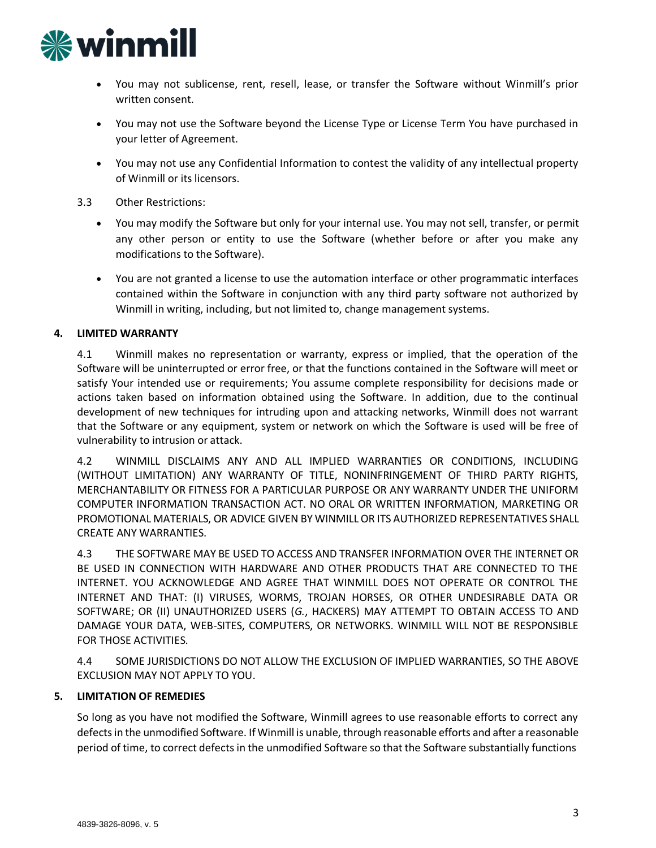

- You may not sublicense, rent, resell, lease, or transfer the Software without Winmill's prior written consent.
- You may not use the Software beyond the License Type or License Term You have purchased in your letter of Agreement.
- You may not use any Confidential Information to contest the validity of any intellectual property of Winmill or its licensors.
- 3.3 Other Restrictions:
	- You may modify the Software but only for your internal use. You may not sell, transfer, or permit any other person or entity to use the Software (whether before or after you make any modifications to the Software).
	- You are not granted a license to use the automation interface or other programmatic interfaces contained within the Software in conjunction with any third party software not authorized by Winmill in writing, including, but not limited to, change management systems.

## **4. LIMITED WARRANTY**

4.1 Winmill makes no representation or warranty, express or implied, that the operation of the Software will be uninterrupted or error free, or that the functions contained in the Software will meet or satisfy Your intended use or requirements; You assume complete responsibility for decisions made or actions taken based on information obtained using the Software. In addition, due to the continual development of new techniques for intruding upon and attacking networks, Winmill does not warrant that the Software or any equipment, system or network on which the Software is used will be free of vulnerability to intrusion or attack.

4.2 WINMILL DISCLAIMS ANY AND ALL IMPLIED WARRANTIES OR CONDITIONS, INCLUDING (WITHOUT LIMITATION) ANY WARRANTY OF TITLE, NONINFRINGEMENT OF THIRD PARTY RIGHTS, MERCHANTABILITY OR FITNESS FOR A PARTICULAR PURPOSE OR ANY WARRANTY UNDER THE UNIFORM COMPUTER INFORMATION TRANSACTION ACT. NO ORAL OR WRITTEN INFORMATION, MARKETING OR PROMOTIONAL MATERIALS, OR ADVICE GIVEN BY WINMILL OR ITS AUTHORIZED REPRESENTATIVES SHALL CREATE ANY WARRANTIES.

4.3 THE SOFTWARE MAY BE USED TO ACCESS AND TRANSFER INFORMATION OVER THE INTERNET OR BE USED IN CONNECTION WITH HARDWARE AND OTHER PRODUCTS THAT ARE CONNECTED TO THE INTERNET. YOU ACKNOWLEDGE AND AGREE THAT WINMILL DOES NOT OPERATE OR CONTROL THE INTERNET AND THAT: (I) VIRUSES, WORMS, TROJAN HORSES, OR OTHER UNDESIRABLE DATA OR SOFTWARE; OR (II) UNAUTHORIZED USERS (*G.*, HACKERS) MAY ATTEMPT TO OBTAIN ACCESS TO AND DAMAGE YOUR DATA, WEB-SITES, COMPUTERS, OR NETWORKS. WINMILL WILL NOT BE RESPONSIBLE FOR THOSE ACTIVITIES.

4.4 SOME JURISDICTIONS DO NOT ALLOW THE EXCLUSION OF IMPLIED WARRANTIES, SO THE ABOVE EXCLUSION MAY NOT APPLY TO YOU.

## **5. LIMITATION OF REMEDIES**

So long as you have not modified the Software, Winmill agrees to use reasonable efforts to correct any defectsin the unmodified Software. If Winmill is unable, through reasonable efforts and after a reasonable period of time, to correct defects in the unmodified Software so that the Software substantially functions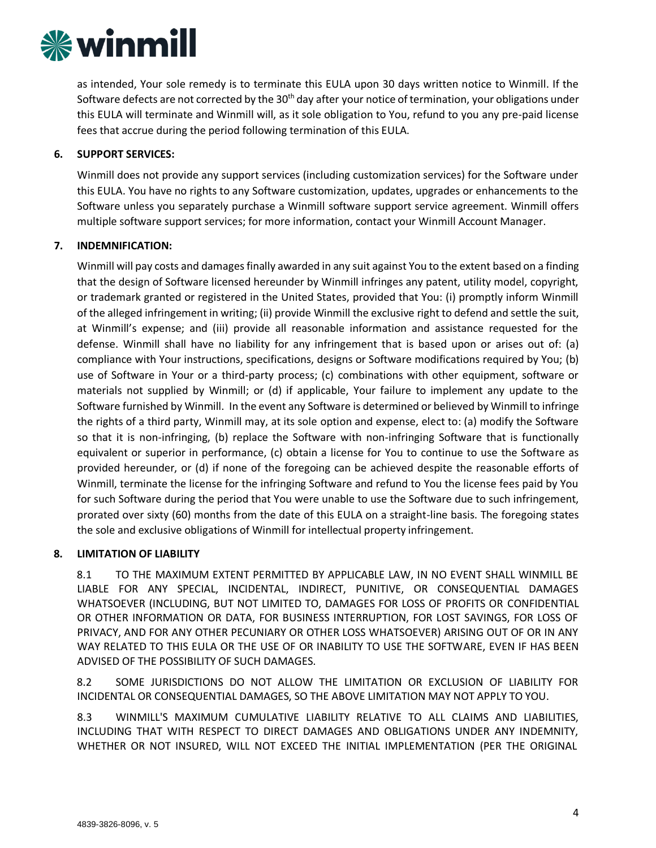

as intended, Your sole remedy is to terminate this EULA upon 30 days written notice to Winmill. If the Software defects are not corrected by the  $30<sup>th</sup>$  day after your notice of termination, your obligations under this EULA will terminate and Winmill will, as it sole obligation to You, refund to you any pre-paid license fees that accrue during the period following termination of this EULA.

### **6. SUPPORT SERVICES:**

Winmill does not provide any support services (including customization services) for the Software under this EULA. You have no rights to any Software customization, updates, upgrades or enhancements to the Software unless you separately purchase a Winmill software support service agreement. Winmill offers multiple software support services; for more information, contact your Winmill Account Manager.

#### **7. INDEMNIFICATION:**

Winmill will pay costs and damages finally awarded in any suit against You to the extent based on a finding that the design of Software licensed hereunder by Winmill infringes any patent, utility model, copyright, or trademark granted or registered in the United States, provided that You: (i) promptly inform Winmill of the alleged infringement in writing; (ii) provide Winmill the exclusive right to defend and settle the suit, at Winmill's expense; and (iii) provide all reasonable information and assistance requested for the defense. Winmill shall have no liability for any infringement that is based upon or arises out of: (a) compliance with Your instructions, specifications, designs or Software modifications required by You; (b) use of Software in Your or a third-party process; (c) combinations with other equipment, software or materials not supplied by Winmill; or (d) if applicable, Your failure to implement any update to the Software furnished by Winmill. In the event any Software is determined or believed by Winmill to infringe the rights of a third party, Winmill may, at its sole option and expense, elect to: (a) modify the Software so that it is non-infringing, (b) replace the Software with non-infringing Software that is functionally equivalent or superior in performance, (c) obtain a license for You to continue to use the Software as provided hereunder, or (d) if none of the foregoing can be achieved despite the reasonable efforts of Winmill, terminate the license for the infringing Software and refund to You the license fees paid by You for such Software during the period that You were unable to use the Software due to such infringement, prorated over sixty (60) months from the date of this EULA on a straight-line basis. The foregoing states the sole and exclusive obligations of Winmill for intellectual property infringement.

#### **8. LIMITATION OF LIABILITY**

8.1 TO THE MAXIMUM EXTENT PERMITTED BY APPLICABLE LAW, IN NO EVENT SHALL WINMILL BE LIABLE FOR ANY SPECIAL, INCIDENTAL, INDIRECT, PUNITIVE, OR CONSEQUENTIAL DAMAGES WHATSOEVER (INCLUDING, BUT NOT LIMITED TO, DAMAGES FOR LOSS OF PROFITS OR CONFIDENTIAL OR OTHER INFORMATION OR DATA, FOR BUSINESS INTERRUPTION, FOR LOST SAVINGS, FOR LOSS OF PRIVACY, AND FOR ANY OTHER PECUNIARY OR OTHER LOSS WHATSOEVER) ARISING OUT OF OR IN ANY WAY RELATED TO THIS EULA OR THE USE OF OR INABILITY TO USE THE SOFTWARE, EVEN IF HAS BEEN ADVISED OF THE POSSIBILITY OF SUCH DAMAGES.

8.2 SOME JURISDICTIONS DO NOT ALLOW THE LIMITATION OR EXCLUSION OF LIABILITY FOR INCIDENTAL OR CONSEQUENTIAL DAMAGES, SO THE ABOVE LIMITATION MAY NOT APPLY TO YOU.

8.3 WINMILL'S MAXIMUM CUMULATIVE LIABILITY RELATIVE TO ALL CLAIMS AND LIABILITIES, INCLUDING THAT WITH RESPECT TO DIRECT DAMAGES AND OBLIGATIONS UNDER ANY INDEMNITY, WHETHER OR NOT INSURED, WILL NOT EXCEED THE INITIAL IMPLEMENTATION (PER THE ORIGINAL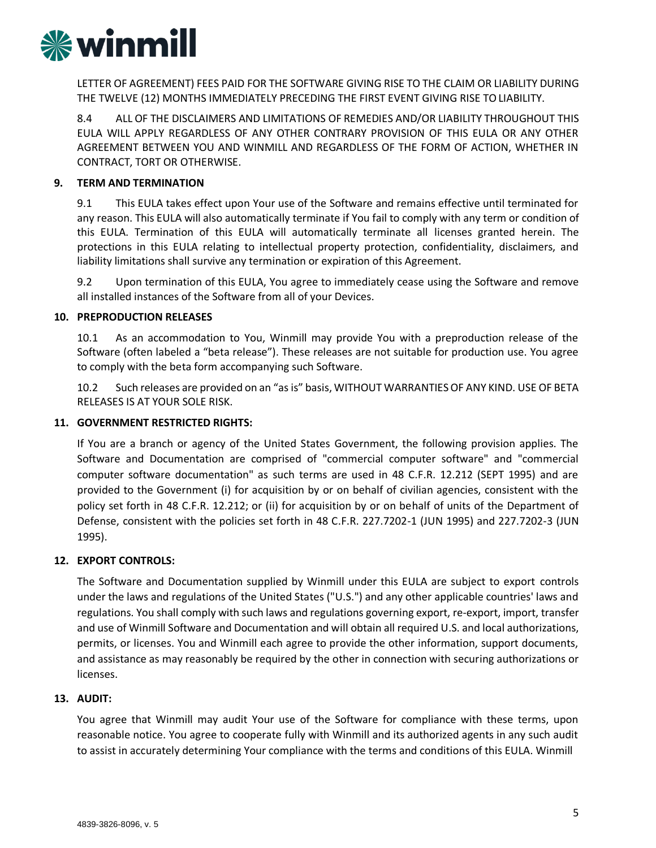

LETTER OF AGREEMENT) FEES PAID FOR THE SOFTWARE GIVING RISE TO THE CLAIM OR LIABILITY DURING THE TWELVE (12) MONTHS IMMEDIATELY PRECEDING THE FIRST EVENT GIVING RISE TOLIABILITY.

8.4 ALL OF THE DISCLAIMERS AND LIMITATIONS OF REMEDIES AND/OR LIABILITY THROUGHOUT THIS EULA WILL APPLY REGARDLESS OF ANY OTHER CONTRARY PROVISION OF THIS EULA OR ANY OTHER AGREEMENT BETWEEN YOU AND WINMILL AND REGARDLESS OF THE FORM OF ACTION, WHETHER IN CONTRACT, TORT OR OTHERWISE.

## **9. TERM AND TERMINATION**

9.1 This EULA takes effect upon Your use of the Software and remains effective until terminated for any reason. This EULA will also automatically terminate if You fail to comply with any term or condition of this EULA. Termination of this EULA will automatically terminate all licenses granted herein. The protections in this EULA relating to intellectual property protection, confidentiality, disclaimers, and liability limitations shall survive any termination or expiration of this Agreement.

9.2 Upon termination of this EULA, You agree to immediately cease using the Software and remove all installed instances of the Software from all of your Devices.

#### **10. PREPRODUCTION RELEASES**

10.1 As an accommodation to You, Winmill may provide You with a preproduction release of the Software (often labeled a "beta release"). These releases are not suitable for production use. You agree to comply with the beta form accompanying such Software.

10.2 Such releases are provided on an "as is" basis, WITHOUT WARRANTIESOF ANY KIND. USE OF BETA RELEASES IS AT YOUR SOLE RISK.

#### **11. GOVERNMENT RESTRICTED RIGHTS:**

If You are a branch or agency of the United States Government, the following provision applies. The Software and Documentation are comprised of "commercial computer software" and "commercial computer software documentation" as such terms are used in 48 C.F.R. 12.212 (SEPT 1995) and are provided to the Government (i) for acquisition by or on behalf of civilian agencies, consistent with the policy set forth in 48 C.F.R. 12.212; or (ii) for acquisition by or on behalf of units of the Department of Defense, consistent with the policies set forth in 48 C.F.R. 227.7202-1 (JUN 1995) and 227.7202-3 (JUN 1995).

#### **12. EXPORT CONTROLS:**

The Software and Documentation supplied by Winmill under this EULA are subject to export controls under the laws and regulations of the United States ("U.S.") and any other applicable countries' laws and regulations. You shall comply with such laws and regulations governing export, re-export, import, transfer and use of Winmill Software and Documentation and will obtain all required U.S. and local authorizations, permits, or licenses. You and Winmill each agree to provide the other information, support documents, and assistance as may reasonably be required by the other in connection with securing authorizations or licenses.

#### **13. AUDIT:**

You agree that Winmill may audit Your use of the Software for compliance with these terms, upon reasonable notice. You agree to cooperate fully with Winmill and its authorized agents in any such audit to assist in accurately determining Your compliance with the terms and conditions of this EULA. Winmill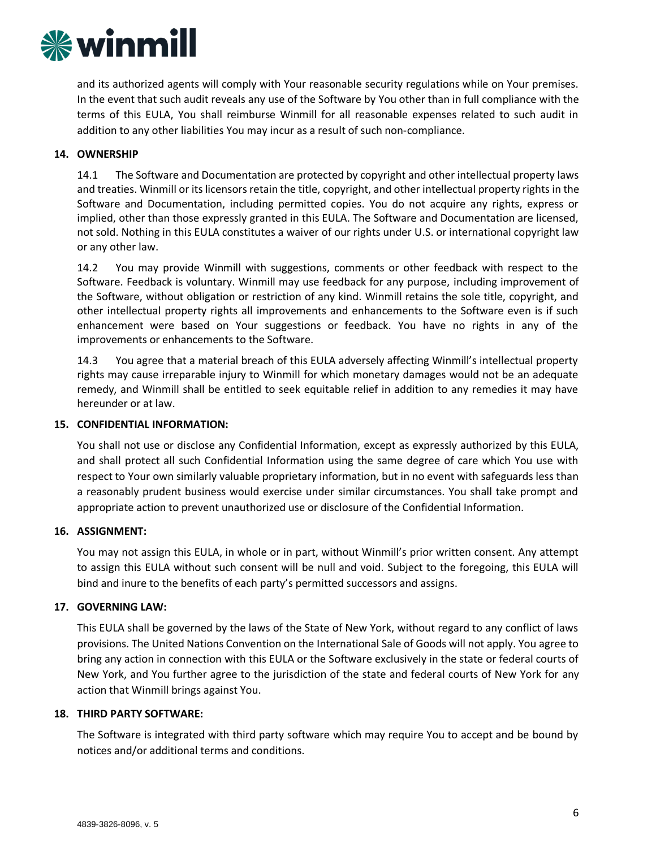

and its authorized agents will comply with Your reasonable security regulations while on Your premises. In the event that such audit reveals any use of the Software by You other than in full compliance with the terms of this EULA, You shall reimburse Winmill for all reasonable expenses related to such audit in addition to any other liabilities You may incur as a result of such non-compliance.

#### **14. OWNERSHIP**

14.1 The Software and Documentation are protected by copyright and other intellectual property laws and treaties. Winmill or its licensors retain the title, copyright, and other intellectual property rights in the Software and Documentation, including permitted copies. You do not acquire any rights, express or implied, other than those expressly granted in this EULA. The Software and Documentation are licensed, not sold. Nothing in this EULA constitutes a waiver of our rights under U.S. or international copyright law or any other law.

14.2 You may provide Winmill with suggestions, comments or other feedback with respect to the Software. Feedback is voluntary. Winmill may use feedback for any purpose, including improvement of the Software, without obligation or restriction of any kind. Winmill retains the sole title, copyright, and other intellectual property rights all improvements and enhancements to the Software even is if such enhancement were based on Your suggestions or feedback. You have no rights in any of the improvements or enhancements to the Software.

14.3 You agree that a material breach of this EULA adversely affecting Winmill's intellectual property rights may cause irreparable injury to Winmill for which monetary damages would not be an adequate remedy, and Winmill shall be entitled to seek equitable relief in addition to any remedies it may have hereunder or at law.

#### **15. CONFIDENTIAL INFORMATION:**

You shall not use or disclose any Confidential Information, except as expressly authorized by this EULA, and shall protect all such Confidential Information using the same degree of care which You use with respect to Your own similarly valuable proprietary information, but in no event with safeguards less than a reasonably prudent business would exercise under similar circumstances. You shall take prompt and appropriate action to prevent unauthorized use or disclosure of the Confidential Information.

## **16. ASSIGNMENT:**

You may not assign this EULA, in whole or in part, without Winmill's prior written consent. Any attempt to assign this EULA without such consent will be null and void. Subject to the foregoing, this EULA will bind and inure to the benefits of each party's permitted successors and assigns.

#### **17. GOVERNING LAW:**

This EULA shall be governed by the laws of the State of New York, without regard to any conflict of laws provisions. The United Nations Convention on the International Sale of Goods will not apply. You agree to bring any action in connection with this EULA or the Software exclusively in the state or federal courts of New York, and You further agree to the jurisdiction of the state and federal courts of New York for any action that Winmill brings against You.

#### **18. THIRD PARTY SOFTWARE:**

The Software is integrated with third party software which may require You to accept and be bound by notices and/or additional terms and conditions.